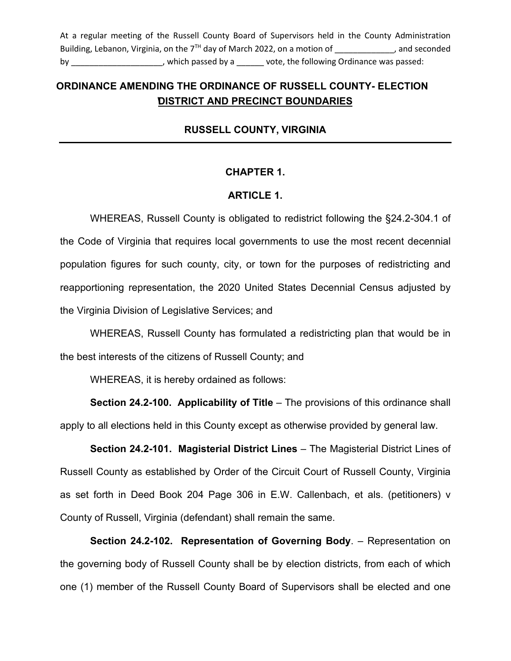At a regular meeting of the Russell County Board of Supervisors held in the County Administration Building, Lebanon, Virginia, on the  $7<sup>TH</sup>$  day of March 2022, on a motion of  $\hspace{1cm}$ , and seconded by by by thich passed by a university vote, the following Ordinance was passed:

# **ORDINANCE AMENDING THE ORDINANCE OF RUSSELL COUNTY- ELECTION \DISTRICT AND PRECINCT BOUNDARIES**

# **RUSSELL COUNTY, VIRGINIA**

#### **CHAPTER 1.**

## **ARTICLE 1.**

WHEREAS, Russell County is obligated to redistrict following the §24.2-304.1 of the Code of Virginia that requires local governments to use the most recent decennial population figures for such county, city, or town for the purposes of redistricting and reapportioning representation, the 2020 United States Decennial Census adjusted by the Virginia Division of Legislative Services; and

WHEREAS, Russell County has formulated a redistricting plan that would be in the best interests of the citizens of Russell County; and

WHEREAS, it is hereby ordained as follows:

**Section 24.2-100. Applicability of Title** – The provisions of this ordinance shall apply to all elections held in this County except as otherwise provided by general law.

**Section 24.2-101. Magisterial District Lines** – The Magisterial District Lines of Russell County as established by Order of the Circuit Court of Russell County, Virginia as set forth in Deed Book 204 Page 306 in E.W. Callenbach, et als. (petitioners) v County of Russell, Virginia (defendant) shall remain the same.

**Section 24.2-102. Representation of Governing Body**. – Representation on the governing body of Russell County shall be by election districts, from each of which one (1) member of the Russell County Board of Supervisors shall be elected and one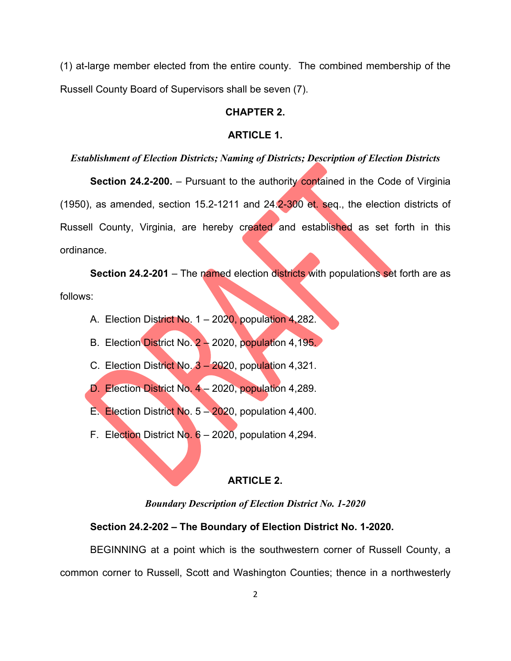(1) at-large member elected from the entire county. The combined membership of the Russell County Board of Supervisors shall be seven (7).

# **CHAPTER 2.**

#### **ARTICLE 1.**

## *Establishment of Election Districts; Naming of Districts; Description of Election Districts*

**Section 24.2-200.** – Pursuant to the authority contained in the Code of Virginia (1950), as amended, section 15.2-1211 and  $24.2-300$  et. seq., the election districts of Russell County, Virginia, are hereby created and established as set forth in this ordinance.

**Section 24.2-201** – The named election districts with populations set forth are as follows:

- A. Election District No. 1 2020, population 4,282.
- B. Election District No. 2 2020, population 4,195.
- C. Election District No. 3 2020, population 4,321.
- D. Election District No. 4 2020, population 4,289.
- E. Election District No.  $5 2020$ , population 4,400.
- F. Election District No.  $6 2020$ , population 4,294.

#### **ARTICLE 2.**

*Boundary Description of Election District No. 1-2020*

### **Section 24.2-202 – The Boundary of Election District No. 1-2020.**

BEGINNING at a point which is the southwestern corner of Russell County, a common corner to Russell, Scott and Washington Counties; thence in a northwesterly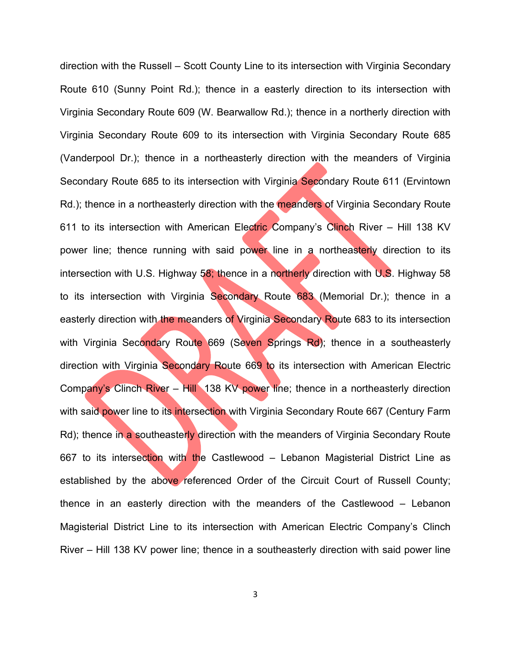direction with the Russell – Scott County Line to its intersection with Virginia Secondary Route 610 (Sunny Point Rd.); thence in a easterly direction to its intersection with Virginia Secondary Route 609 (W. Bearwallow Rd.); thence in a northerly direction with Virginia Secondary Route 609 to its intersection with Virginia Secondary Route 685 (Vanderpool Dr.); thence in a northeasterly direction with the meanders of Virginia Secondary Route 685 to its intersection with Virginia Secondary Route 611 (Ervintown Rd.); thence in a northeasterly direction with the meanders of Virginia Secondary Route 611 to its intersection with American Electric Company's Clinch River – Hill 138 KV power line; thence running with said power line in a northeasterly direction to its intersection with U.S. Highway 58; thence in a northerly direction with U.S. Highway 58 to its intersection with Virginia Secondary Route 683 (Memorial Dr.); thence in a easterly direction with the meanders of Virginia Secondary Route 683 to its intersection with Virginia Secondary Route 669 (Seven Springs Rd); thence in a southeasterly direction with Virginia Secondary Route 669 to its intersection with American Electric Company's Clinch River – Hill 138 KV power line; thence in a northeasterly direction with said power line to its intersection with Virginia Secondary Route 667 (Century Farm Rd); thence in a southeasterly direction with the meanders of Virginia Secondary Route 667 to its intersection with the Castlewood - Lebanon Magisterial District Line as established by the above referenced Order of the Circuit Court of Russell County; thence in an easterly direction with the meanders of the Castlewood – Lebanon Magisterial District Line to its intersection with American Electric Company's Clinch River – Hill 138 KV power line; thence in a southeasterly direction with said power line

3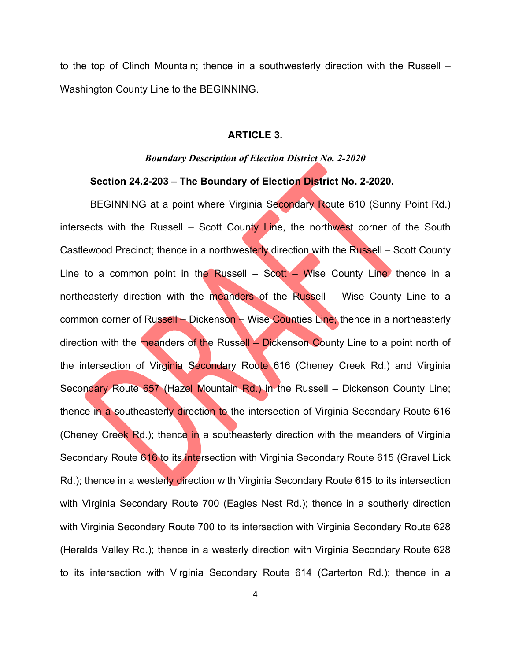to the top of Clinch Mountain; thence in a southwesterly direction with the Russell – Washington County Line to the BEGINNING.

#### **ARTICLE 3.**

# *Boundary Description of Election District No. 2-2020*

## **Section 24.2-203 – The Boundary of Election District No. 2-2020.**

BEGINNING at a point where Virginia Secondary Route 610 (Sunny Point Rd.) intersects with the Russell – Scott County Line, the northwest corner of the South Castlewood Precinct; thence in a northwesterly direction with the Russell – Scott County Line to a common point in the Russell – Scott – Wise County Line; thence in a northeasterly direction with the meanders of the Russell – Wise County Line to a common corner of Russell – Dickenson – Wise Counties Line; thence in a northeasterly direction with the meanders of the Russell – Dickenson County Line to a point north of the intersection of Virginia Secondary Route 616 (Cheney Creek Rd.) and Virginia Secondary Route 657 (Hazel Mountain Rd.) in the Russell – Dickenson County Line; thence in a southeasterly direction to the intersection of Virginia Secondary Route 616 (Cheney Creek Rd.); thence in a southeasterly direction with the meanders of Virginia Secondary Route 616 to its intersection with Virginia Secondary Route 615 (Gravel Lick Rd.); thence in a westerly direction with Virginia Secondary Route 615 to its intersection with Virginia Secondary Route 700 (Eagles Nest Rd.); thence in a southerly direction with Virginia Secondary Route 700 to its intersection with Virginia Secondary Route 628 (Heralds Valley Rd.); thence in a westerly direction with Virginia Secondary Route 628 to its intersection with Virginia Secondary Route 614 (Carterton Rd.); thence in a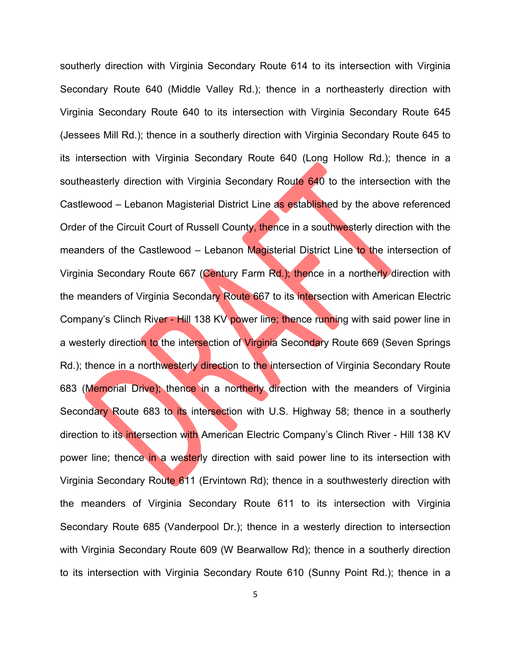southerly direction with Virginia Secondary Route 614 to its intersection with Virginia Secondary Route 640 (Middle Valley Rd.); thence in a northeasterly direction with Virginia Secondary Route 640 to its intersection with Virginia Secondary Route 645 (Jessees Mill Rd.); thence in a southerly direction with Virginia Secondary Route 645 to its intersection with Virginia Secondary Route 640 (Long Hollow Rd.); thence in a southeasterly direction with Virginia Secondary Route 640 to the intersection with the Castlewood – Lebanon Magisterial District Line as established by the above referenced Order of the Circuit Court of Russell County, thence in a southwesterly direction with the meanders of the Castlewood – Lebanon Magisterial District Line to the intersection of Virginia Secondary Route 667 (Century Farm Rd.); thence in a northerly direction with the meanders of Virginia Secondary Route 667 to its intersection with American Electric Company's Clinch River - Hill 138 KV power line; thence running with said power line in a westerly direction to the intersection of Virginia Secondary Route 669 (Seven Springs Rd.); thence in a northwesterly direction to the intersection of Virginia Secondary Route 683 (Memorial Drive); thence in a northerly direction with the meanders of Virginia Secondary Route 683 to its intersection with U.S. Highway 58; thence in a southerly direction to its intersection with American Electric Company's Clinch River - Hill 138 KV power line; thence in a westerly direction with said power line to its intersection with Virginia Secondary Route 611 (Ervintown Rd); thence in a southwesterly direction with the meanders of Virginia Secondary Route 611 to its intersection with Virginia Secondary Route 685 (Vanderpool Dr.); thence in a westerly direction to intersection with Virginia Secondary Route 609 (W Bearwallow Rd); thence in a southerly direction to its intersection with Virginia Secondary Route 610 (Sunny Point Rd.); thence in a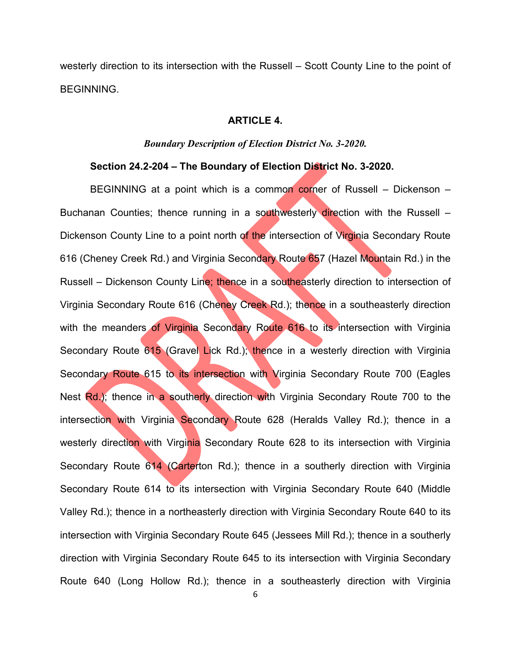westerly direction to its intersection with the Russell – Scott County Line to the point of BEGINNING.

#### **ARTICLE 4.**

#### *Boundary Description of Election District No. 3-2020.*

### **Section 24.2-204 – The Boundary of Election District No. 3-2020.**

BEGINNING at a point which is a common corner of Russell  $-$  Dickenson  $-$ Buchanan Counties; thence running in a southwesterly direction with the Russell – Dickenson County Line to a point north of the intersection of Virginia Secondary Route 616 (Cheney Creek Rd.) and Virginia Secondary Route 657 (Hazel Mountain Rd.) in the Russell – Dickenson County Line; thence in a southeasterly direction to intersection of Virginia Secondary Route 616 (Cheney Creek Rd.); thence in a southeasterly direction with the meanders of Virginia Secondary Route 616 to its intersection with Virginia Secondary Route 615 (Gravel Lick Rd.); thence in a westerly direction with Virginia Secondary Route 615 to its intersection with Virginia Secondary Route 700 (Eagles Nest Rd.); thence in a southerly direction with Virginia Secondary Route 700 to the intersection with Virginia Secondary Route 628 (Heralds Valley Rd.); thence in a westerly direction with Virginia Secondary Route 628 to its intersection with Virginia Secondary Route 614 (Carterton Rd.); thence in a southerly direction with Virginia Secondary Route 614 to its intersection with Virginia Secondary Route 640 (Middle Valley Rd.); thence in a northeasterly direction with Virginia Secondary Route 640 to its intersection with Virginia Secondary Route 645 (Jessees Mill Rd.); thence in a southerly direction with Virginia Secondary Route 645 to its intersection with Virginia Secondary Route 640 (Long Hollow Rd.); thence in a southeasterly direction with Virginia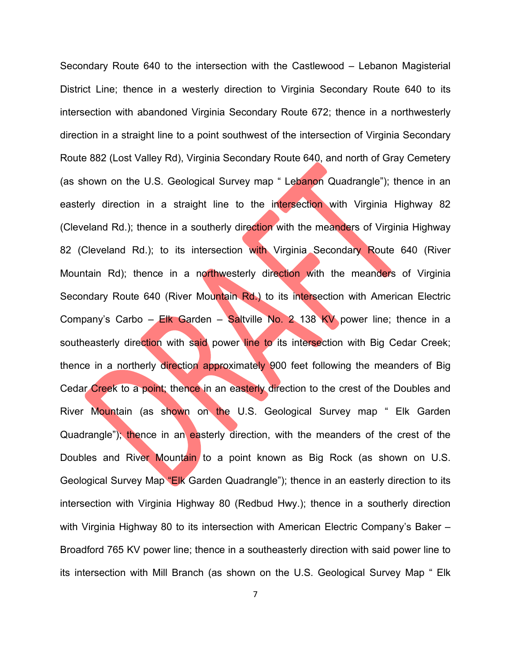Secondary Route 640 to the intersection with the Castlewood – Lebanon Magisterial District Line; thence in a westerly direction to Virginia Secondary Route 640 to its intersection with abandoned Virginia Secondary Route 672; thence in a northwesterly direction in a straight line to a point southwest of the intersection of Virginia Secondary Route 882 (Lost Valley Rd), Virginia Secondary Route 640, and north of Gray Cemetery (as shown on the U.S. Geological Survey map " Lebanon Quadrangle"); thence in an easterly direction in a straight line to the intersection with Virginia Highway 82 (Cleveland Rd.); thence in a southerly direction with the meanders of Virginia Highway 82 (Cleveland Rd.); to its intersection with Virginia Secondary Route 640 (River Mountain Rd); thence in a northwesterly direction with the meanders of Virginia Secondary Route 640 (River Mountain Rd.) to its intersection with American Electric Company's Carbo – Elk Garden – Saltville No. 2 138 KV power line; thence in a southeasterly direction with said power line to its intersection with Big Cedar Creek; thence in a northerly direction approximately 900 feet following the meanders of Big Cedar Creek to a point; thence in an easterly direction to the crest of the Doubles and River Mountain (as shown on the U.S. Geological Survey map " Elk Garden Quadrangle"); thence in an easterly direction, with the meanders of the crest of the Doubles and River Mountain to a point known as Big Rock (as shown on U.S. Geological Survey Map "Elk Garden Quadrangle"); thence in an easterly direction to its intersection with Virginia Highway 80 (Redbud Hwy.); thence in a southerly direction with Virginia Highway 80 to its intersection with American Electric Company's Baker – Broadford 765 KV power line; thence in a southeasterly direction with said power line to its intersection with Mill Branch (as shown on the U.S. Geological Survey Map " Elk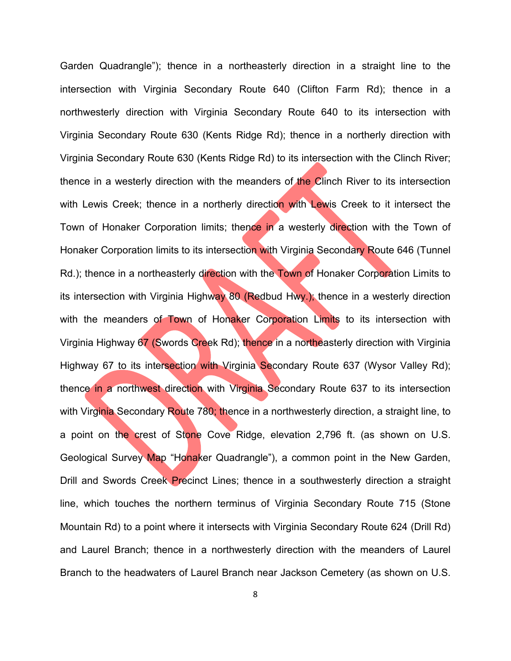Garden Quadrangle"); thence in a northeasterly direction in a straight line to the intersection with Virginia Secondary Route 640 (Clifton Farm Rd); thence in a northwesterly direction with Virginia Secondary Route 640 to its intersection with Virginia Secondary Route 630 (Kents Ridge Rd); thence in a northerly direction with Virginia Secondary Route 630 (Kents Ridge Rd) to its intersection with the Clinch River; thence in a westerly direction with the meanders of the Clinch River to its intersection with Lewis Creek; thence in a northerly direction with Lewis Creek to it intersect the Town of Honaker Corporation limits; thence in a westerly direction with the Town of Honaker Corporation limits to its intersection with Virginia Secondary Route 646 (Tunnel Rd.); thence in a northeasterly direction with the Town of Honaker Corporation Limits to its intersection with Virginia Highway 80 (Redbud Hwy.); thence in a westerly direction with the meanders of Town of Honaker Corporation Limits to its intersection with Virginia Highway 67 (Swords Creek Rd); thence in a northeasterly direction with Virginia Highway 67 to its intersection with Virginia Secondary Route 637 (Wysor Valley Rd); thence in a northwest direction with Virginia Secondary Route 637 to its intersection with Virginia Secondary Route 780; thence in a northwesterly direction, a straight line, to a point on the crest of Stone Cove Ridge, elevation 2,796 ft. (as shown on U.S. Geological Survey Map "Honaker Quadrangle"), a common point in the New Garden, Drill and Swords Creek Precinct Lines; thence in a southwesterly direction a straight line, which touches the northern terminus of Virginia Secondary Route 715 (Stone Mountain Rd) to a point where it intersects with Virginia Secondary Route 624 (Drill Rd) and Laurel Branch; thence in a northwesterly direction with the meanders of Laurel Branch to the headwaters of Laurel Branch near Jackson Cemetery (as shown on U.S.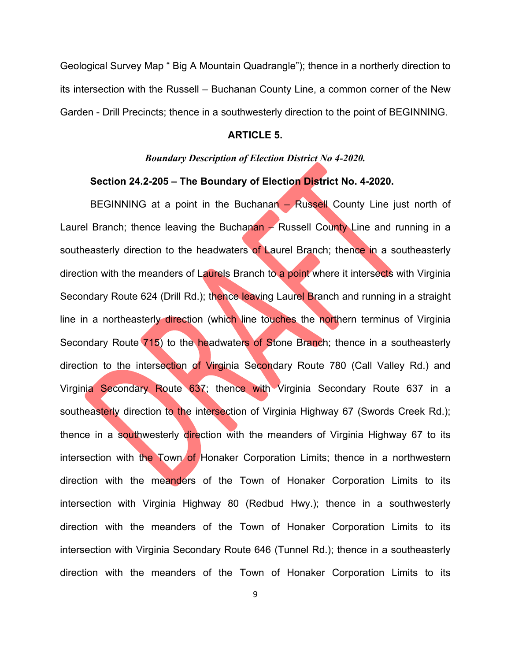Geological Survey Map " Big A Mountain Quadrangle"); thence in a northerly direction to its intersection with the Russell – Buchanan County Line, a common corner of the New Garden - Drill Precincts; thence in a southwesterly direction to the point of BEGINNING.

#### **ARTICLE 5.**

#### *Boundary Description of Election District No 4-2020.*

### **Section 24.2-205 – The Boundary of Election District No. 4-2020.**

BEGINNING at a point in the Buchanan – Russell County Line just north of Laurel Branch; thence leaving the Buchanan  $\rightarrow$  Russell County Line and running in a southeasterly direction to the headwaters of Laurel Branch; thence in a southeasterly direction with the meanders of Laurels Branch to a point where it intersects with Virginia Secondary Route 624 (Drill Rd.); thence leaving Laurel Branch and running in a straight line in a northeasterly direction (which line touches the northern terminus of Virginia Secondary Route 715) to the headwaters of Stone Branch; thence in a southeasterly direction to the intersection of Virginia Secondary Route 780 (Call Valley Rd.) and Virginia Secondary Route 637; thence with Virginia Secondary Route 637 in a southeasterly direction to the intersection of Virginia Highway 67 (Swords Creek Rd.); thence in a southwesterly direction with the meanders of Virginia Highway 67 to its intersection with the Town of Honaker Corporation Limits; thence in a northwestern direction with the meanders of the Town of Honaker Corporation Limits to its intersection with Virginia Highway 80 (Redbud Hwy.); thence in a southwesterly direction with the meanders of the Town of Honaker Corporation Limits to its intersection with Virginia Secondary Route 646 (Tunnel Rd.); thence in a southeasterly direction with the meanders of the Town of Honaker Corporation Limits to its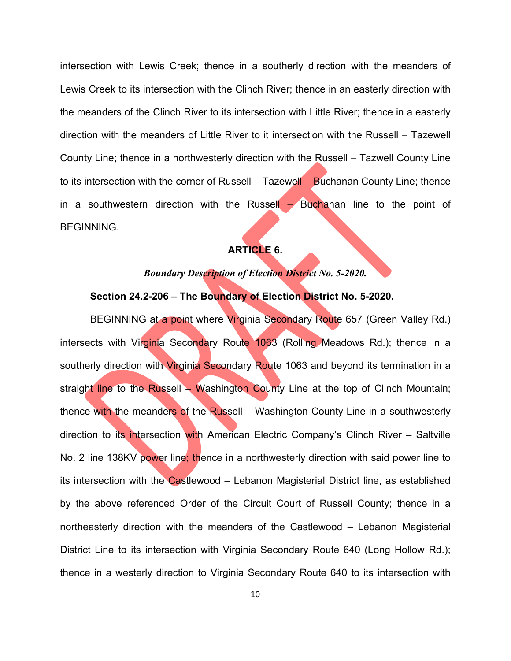intersection with Lewis Creek; thence in a southerly direction with the meanders of Lewis Creek to its intersection with the Clinch River; thence in an easterly direction with the meanders of the Clinch River to its intersection with Little River; thence in a easterly direction with the meanders of Little River to it intersection with the Russell – Tazewell County Line; thence in a northwesterly direction with the Russell – Tazwell County Line to its intersection with the corner of Russell – Tazewell – Buchanan County Line; thence in a southwestern direction with the Russell – Buchanan line to the point of BEGINNING.

# **ARTICLE 6.**

# *Boundary Description of Election District No. 5-2020.*

# **Section 24.2-206 – The Boundary of Election District No. 5-2020.**

BEGINNING at a point where Virginia Secondary Route 657 (Green Valley Rd.) intersects with Virginia Secondary Route 1063 (Rolling Meadows Rd.); thence in a southerly direction with Virginia Secondary Route 1063 and beyond its termination in a straight line to the Russell – Washington County Line at the top of Clinch Mountain; thence with the meanders of the Russell – Washington County Line in a southwesterly direction to its intersection with American Electric Company's Clinch River – Saltville No. 2 line 138KV power line; thence in a northwesterly direction with said power line to its intersection with the Castlewood – Lebanon Magisterial District line, as established by the above referenced Order of the Circuit Court of Russell County; thence in a northeasterly direction with the meanders of the Castlewood – Lebanon Magisterial District Line to its intersection with Virginia Secondary Route 640 (Long Hollow Rd.); thence in a westerly direction to Virginia Secondary Route 640 to its intersection with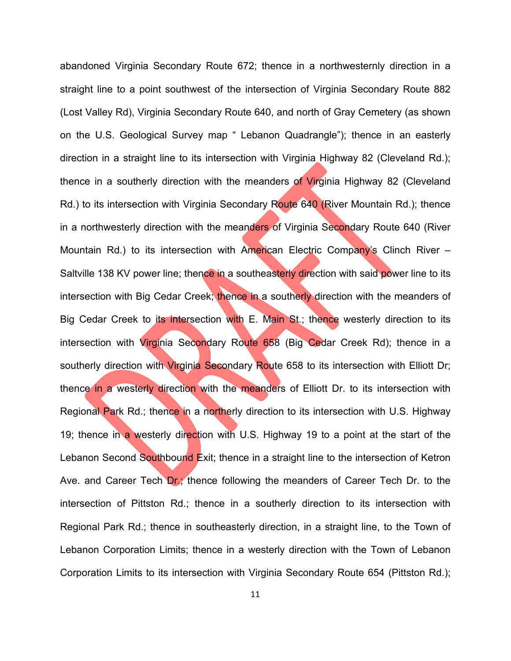abandoned Virginia Secondary Route 672; thence in a northwesternly direction in a straight line to a point southwest of the intersection of Virginia Secondary Route 882 (Lost Valley Rd), Virginia Secondary Route 640, and north of Gray Cemetery (as shown on the U.S. Geological Survey map " Lebanon Quadrangle"); thence in an easterly direction in a straight line to its intersection with Virginia Highway 82 (Cleveland Rd.); thence in a southerly direction with the meanders of Virginia Highway 82 (Cleveland Rd.) to its intersection with Virginia Secondary Route 640 (River Mountain Rd.); thence in a northwesterly direction with the meanders of Virginia Secondary Route 640 (River Mountain Rd.) to its intersection with American Electric Company's Clinch River – Saltville 138 KV power line; thence in a southeasterly direction with said power line to its intersection with Big Cedar Creek; thence in a southerly direction with the meanders of Big Cedar Creek to its intersection with E. Main St.; thence westerly direction to its intersection with Virginia Secondary Route 658 (Big Cedar Creek Rd); thence in a southerly direction with Virginia Secondary Route 658 to its intersection with Elliott Dr; thence in a westerly direction with the meanders of Elliott Dr. to its intersection with Regional Park Rd.; thence in a northerly direction to its intersection with U.S. Highway 19; thence in a westerly direction with U.S. Highway 19 to a point at the start of the Lebanon Second Southbound Exit; thence in a straight line to the intersection of Ketron Ave. and Career Tech Dr.; thence following the meanders of Career Tech Dr. to the intersection of Pittston Rd.; thence in a southerly direction to its intersection with Regional Park Rd.; thence in southeasterly direction, in a straight line, to the Town of Lebanon Corporation Limits; thence in a westerly direction with the Town of Lebanon Corporation Limits to its intersection with Virginia Secondary Route 654 (Pittston Rd.);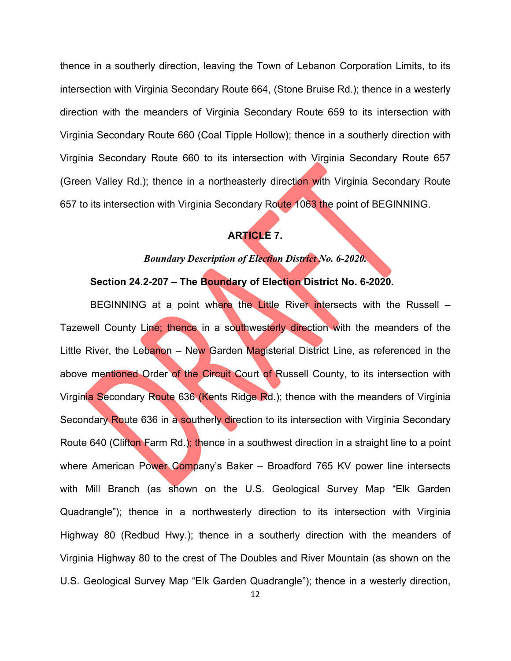thence in a southerly direction, leaving the Town of Lebanon Corporation Limits, to its intersection with Virginia Secondary Route 664, (Stone Bruise Rd.); thence in a westerly direction with the meanders of Virginia Secondary Route 659 to its intersection with Virginia Secondary Route 660 (Coal Tipple Hollow); thence in a southerly direction with Virginia Secondary Route 660 to its intersection with Virginia Secondary Route 657 (Green Valley Rd.); thence in a northeasterly direction with Virginia Secondary Route 657 to its intersection with Virginia Secondary Route 1063 the point of BEGINNING.

# **ARTICLE 7.**

# *Boundary Description of Election District No. 6-2020.*

# **Section 24.2-207 – The Boundary of Election District No. 6-2020.**

BEGINNING at a point where the Little River intersects with the Russell – Tazewell County Line; thence in a southwesterly direction with the meanders of the Little River, the Lebanon - New Garden Magisterial District Line, as referenced in the above mentioned Order of the Circuit Court of Russell County, to its intersection with Virginia Secondary Route 636 (Kents Ridge Rd.); thence with the meanders of Virginia Secondary Route 636 in a southerly direction to its intersection with Virginia Secondary Route 640 (Clifton Farm Rd.); thence in a southwest direction in a straight line to a point where American Power Company's Baker - Broadford 765 KV power line intersects with Mill Branch (as shown on the U.S. Geological Survey Map "Elk Garden Quadrangle"); thence in a northwesterly direction to its intersection with Virginia Highway 80 (Redbud Hwy.); thence in a southerly direction with the meanders of Virginia Highway 80 to the crest of The Doubles and River Mountain (as shown on the U.S. Geological Survey Map "Elk Garden Quadrangle"); thence in a westerly direction,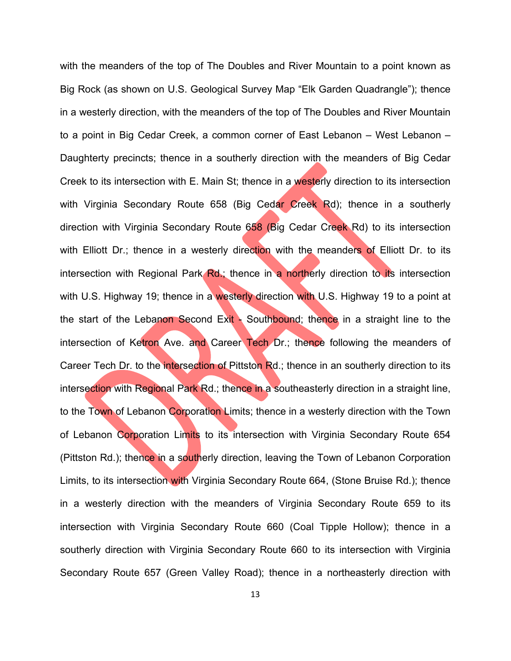with the meanders of the top of The Doubles and River Mountain to a point known as Big Rock (as shown on U.S. Geological Survey Map "Elk Garden Quadrangle"); thence in a westerly direction, with the meanders of the top of The Doubles and River Mountain to a point in Big Cedar Creek, a common corner of East Lebanon – West Lebanon – Daughterty precincts; thence in a southerly direction with the meanders of Big Cedar Creek to its intersection with E. Main St; thence in a westerly direction to its intersection with Virginia Secondary Route 658 (Big Cedar Creek Rd); thence in a southerly direction with Virginia Secondary Route 658 (Big Cedar Creek Rd) to its intersection with Elliott Dr.; thence in a westerly direction with the meanders of Elliott Dr. to its intersection with Regional Park Rd.; thence in a northerly direction to its intersection with U.S. Highway 19; thence in a westerly direction with U.S. Highway 19 to a point at the start of the Lebanon Second Exit - Southbound; thence in a straight line to the intersection of Ketron Ave. and Career Tech Dr.; thence following the meanders of Career Tech Dr. to the intersection of Pittston Rd.; thence in an southerly direction to its intersection with Regional Park Rd.; thence in a southeasterly direction in a straight line, to the Town of Lebanon Corporation Limits; thence in a westerly direction with the Town of Lebanon Corporation Limits to its intersection with Virginia Secondary Route 654 (Pittston Rd.); thence in a southerly direction, leaving the Town of Lebanon Corporation Limits, to its intersection with Virginia Secondary Route 664, (Stone Bruise Rd.); thence in a westerly direction with the meanders of Virginia Secondary Route 659 to its intersection with Virginia Secondary Route 660 (Coal Tipple Hollow); thence in a southerly direction with Virginia Secondary Route 660 to its intersection with Virginia Secondary Route 657 (Green Valley Road); thence in a northeasterly direction with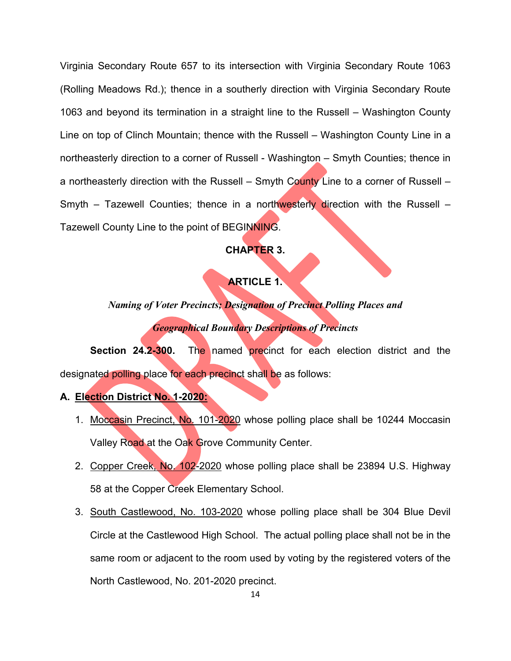Virginia Secondary Route 657 to its intersection with Virginia Secondary Route 1063 (Rolling Meadows Rd.); thence in a southerly direction with Virginia Secondary Route 1063 and beyond its termination in a straight line to the Russell – Washington County Line on top of Clinch Mountain; thence with the Russell – Washington County Line in a northeasterly direction to a corner of Russell - Washington – Smyth Counties; thence in a northeasterly direction with the Russell – Smyth County Line to a corner of Russell – Smyth – Tazewell Counties; thence in a northwesterly direction with the Russell – Tazewell County Line to the point of BEGINNING.

# **CHAPTER 3.**

# **ARTICLE 1.**

*Naming of Voter Precincts; Designation of Precinct Polling Places and Geographical Boundary Descriptions of Precincts*

**Section 24.2-300.** The named precinct for each election district and the designated polling place for each precinct shall be as follows:

- **A. Election District No. 1-2020:**
	- 1. Moccasin Precinct, No. 101-2020 whose polling place shall be 10244 Moccasin Valley Road at the Oak Grove Community Center.
	- 2. Copper Creek, No. 102-2020 whose polling place shall be 23894 U.S. Highway 58 at the Copper Creek Elementary School.
	- 3. South Castlewood, No. 103-2020 whose polling place shall be 304 Blue Devil Circle at the Castlewood High School. The actual polling place shall not be in the same room or adjacent to the room used by voting by the registered voters of the North Castlewood, No. 201-2020 precinct.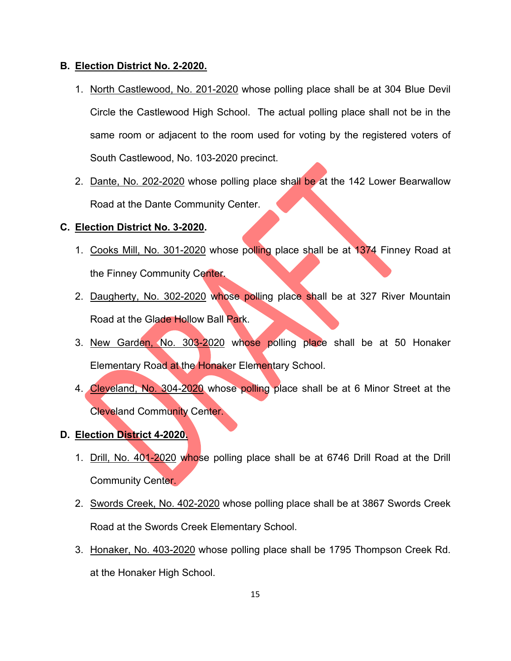## **B. Election District No. 2-2020.**

- 1. North Castlewood, No. 201-2020 whose polling place shall be at 304 Blue Devil Circle the Castlewood High School. The actual polling place shall not be in the same room or adjacent to the room used for voting by the registered voters of South Castlewood, No. 103-2020 precinct.
- 2. Dante, No. 202-2020 whose polling place shall be at the 142 Lower Bearwallow Road at the Dante Community Center.

## **C. Election District No. 3-2020.**

- 1. Cooks Mill, No. 301-2020 whose polling place shall be at 1374 Finney Road at the Finney Community Center.
- 2. Daugherty, No. 302-2020 whose polling place shall be at 327 River Mountain Road at the Glade Hollow Ball Park.
- 3. New Garden, No. 303-2020 whose polling place shall be at 50 Honaker Elementary Road at the Honaker Elementary School.
- 4. Cleveland, No. 304-2020 whose polling place shall be at 6 Minor Street at the Cleveland Community Center.
- **D. Election District 4-2020.**
	- 1. Drill, No. 401-2020 whose polling place shall be at 6746 Drill Road at the Drill Community Center.
	- 2. Swords Creek, No. 402-2020 whose polling place shall be at 3867 Swords Creek Road at the Swords Creek Elementary School.
	- 3. Honaker, No. 403-2020 whose polling place shall be 1795 Thompson Creek Rd. at the Honaker High School.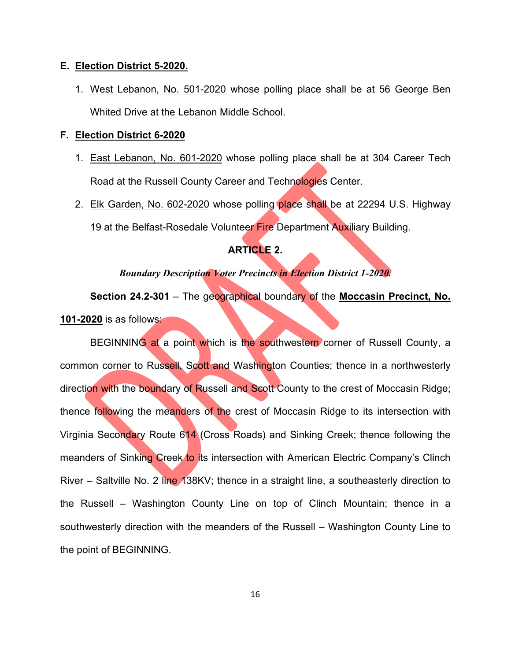#### **E. Election District 5-2020.**

1. West Lebanon, No. 501-2020 whose polling place shall be at 56 George Ben Whited Drive at the Lebanon Middle School.

#### **F. Election District 6-2020**

- 1. East Lebanon, No. 601-2020 whose polling place shall be at 304 Career Tech Road at the Russell County Career and Technologies Center.
- 2. Elk Garden, No. 602-2020 whose polling place shall be at 22294 U.S. Highway 19 at the Belfast-Rosedale Volunteer Fire Department Auxiliary Building.

# **ARTICLE 2.**

# *Boundary Description Voter Precincts in Election District 1-2020.*

**Section 24.2-301** – The geographical boundary of the **Moccasin Precinct, No. 101-2020** is as follows:

BEGINNING at a point which is the southwestern corner of Russell County, a common corner to Russell, Scott and Washington Counties; thence in a northwesterly direction with the boundary of Russell and Scott County to the crest of Moccasin Ridge; thence following the meanders of the crest of Moccasin Ridge to its intersection with Virginia Secondary Route 614 (Cross Roads) and Sinking Creek; thence following the meanders of Sinking Creek to its intersection with American Electric Company's Clinch River – Saltville No. 2 line 138KV; thence in a straight line, a southeasterly direction to the Russell – Washington County Line on top of Clinch Mountain; thence in a southwesterly direction with the meanders of the Russell – Washington County Line to the point of BEGINNING.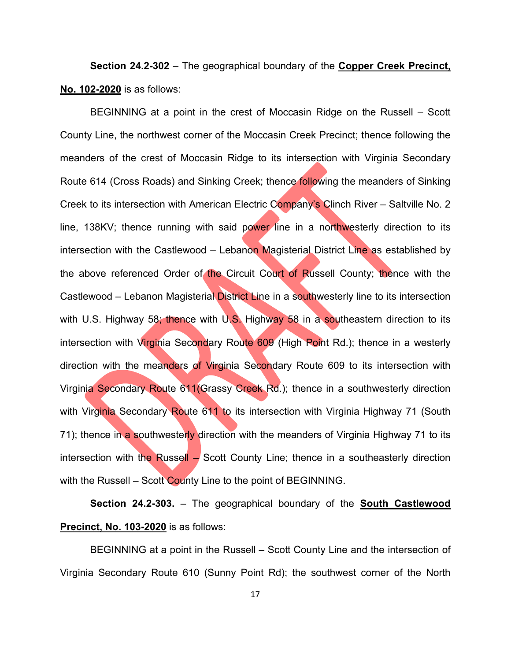**Section 24.2-302** – The geographical boundary of the **Copper Creek Precinct, No. 102-2020** is as follows:

BEGINNING at a point in the crest of Moccasin Ridge on the Russell – Scott County Line, the northwest corner of the Moccasin Creek Precinct; thence following the meanders of the crest of Moccasin Ridge to its intersection with Virginia Secondary Route 614 (Cross Roads) and Sinking Creek; thence following the meanders of Sinking Creek to its intersection with American Electric Company's Clinch River – Saltville No. 2 line, 138KV; thence running with said power line in a northwesterly direction to its intersection with the Castlewood – Lebanon Magisterial District Line as established by the above referenced Order of the Circuit Court of Russell County; thence with the Castlewood – Lebanon Magisterial District Line in a southwesterly line to its intersection with U.S. Highway 58; thence with U.S. Highway 58 in a southeastern direction to its intersection with Virginia Secondary Route 609 (High Point Rd.); thence in a westerly direction with the meanders of Virginia Secondary Route 609 to its intersection with Virginia Secondary Route 611(Grassy Creek Rd.); thence in a southwesterly direction with Virginia Secondary Route 611 to its intersection with Virginia Highway 71 (South 71); thence in a southwesterly direction with the meanders of Virginia Highway 71 to its intersection with the Russell  $-$  Scott County Line; thence in a southeasterly direction with the Russell – Scott County Line to the point of BEGINNING.

**Section 24.2-303.** – The geographical boundary of the **South Castlewood Precinct, No. 103-2020** is as follows:

BEGINNING at a point in the Russell – Scott County Line and the intersection of Virginia Secondary Route 610 (Sunny Point Rd); the southwest corner of the North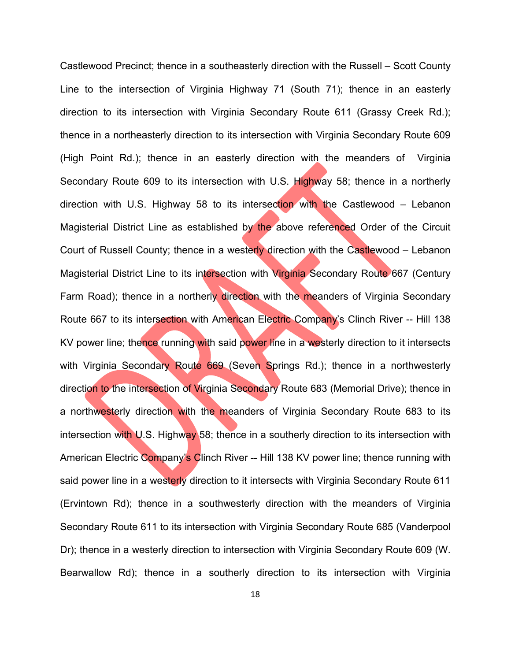Castlewood Precinct; thence in a southeasterly direction with the Russell – Scott County Line to the intersection of Virginia Highway 71 (South 71); thence in an easterly direction to its intersection with Virginia Secondary Route 611 (Grassy Creek Rd.); thence in a northeasterly direction to its intersection with Virginia Secondary Route 609 (High Point Rd.); thence in an easterly direction with the meanders of Virginia Secondary Route 609 to its intersection with U.S. Highway 58; thence in a northerly direction with U.S. Highway 58 to its intersection with the Castlewood – Lebanon Magisterial District Line as established by the above referenced Order of the Circuit Court of Russell County; thence in a westerly direction with the Castlewood – Lebanon Magisterial District Line to its intersection with Virginia Secondary Route 667 (Century Farm Road); thence in a northerly direction with the meanders of Virginia Secondary Route 667 to its intersection with American Electric Company's Clinch River -- Hill 138 KV power line; thence running with said power line in a westerly direction to it intersects with Virginia Secondary Route 669 (Seven Springs Rd.); thence in a northwesterly direction to the intersection of Virginia Secondary Route 683 (Memorial Drive); thence in a northwesterly direction with the meanders of Virginia Secondary Route 683 to its intersection with U.S. Highway 58; thence in a southerly direction to its intersection with American Electric Company's Clinch River -- Hill 138 KV power line; thence running with said power line in a westerly direction to it intersects with Virginia Secondary Route 611 (Ervintown Rd); thence in a southwesterly direction with the meanders of Virginia Secondary Route 611 to its intersection with Virginia Secondary Route 685 (Vanderpool Dr); thence in a westerly direction to intersection with Virginia Secondary Route 609 (W. Bearwallow Rd); thence in a southerly direction to its intersection with Virginia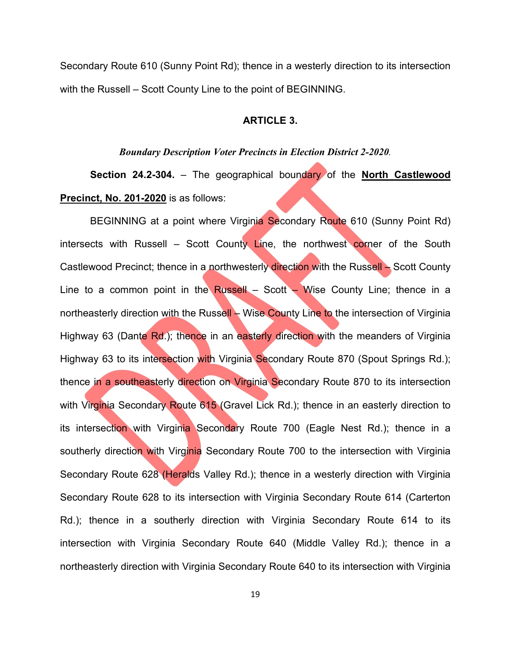Secondary Route 610 (Sunny Point Rd); thence in a westerly direction to its intersection with the Russell – Scott County Line to the point of BEGINNING.

# **ARTICLE 3.**

#### *Boundary Description Voter Precincts in Election District 2-2020.*

**Section 24.2-304.** – The geographical boundary of the **North Castlewood Precinct, No. 201-2020** is as follows:

BEGINNING at a point where Virginia Secondary Route 610 (Sunny Point Rd) intersects with Russell – Scott County Line, the northwest corner of the South Castlewood Precinct; thence in a northwesterly direction with the Russell – Scott County Line to a common point in the Russell – Scott – Wise County Line; thence in a northeasterly direction with the Russell – Wise County Line to the intersection of Virginia Highway 63 (Dante Rd.); thence in an easterly direction with the meanders of Virginia Highway 63 to its intersection with Virginia Secondary Route 870 (Spout Springs Rd.); thence in a southeasterly direction on Virginia Secondary Route 870 to its intersection with Virginia Secondary Route 615 (Gravel Lick Rd.); thence in an easterly direction to its intersection with Virginia Secondary Route 700 (Eagle Nest Rd.); thence in a southerly direction with Virginia Secondary Route 700 to the intersection with Virginia Secondary Route 628 (Heralds Valley Rd.); thence in a westerly direction with Virginia Secondary Route 628 to its intersection with Virginia Secondary Route 614 (Carterton Rd.); thence in a southerly direction with Virginia Secondary Route 614 to its intersection with Virginia Secondary Route 640 (Middle Valley Rd.); thence in a northeasterly direction with Virginia Secondary Route 640 to its intersection with Virginia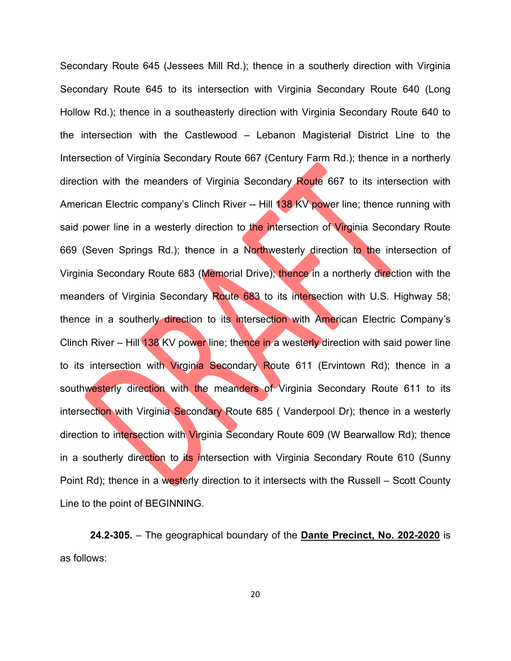Secondary Route 645 (Jessees Mill Rd.); thence in a southerly direction with Virginia Secondary Route 645 to its intersection with Virginia Secondary Route 640 (Long Hollow Rd.); thence in a southeasterly direction with Virginia Secondary Route 640 to the intersection with the Castlewood – Lebanon Magisterial District Line to the Intersection of Virginia Secondary Route 667 (Century Farm Rd.); thence in a northerly direction with the meanders of Virginia Secondary Route 667 to its intersection with American Electric company's Clinch River -- Hill 138 KV power line; thence running with said power line in a westerly direction to the intersection of Virginia Secondary Route 669 (Seven Springs Rd.); thence in a Northwesterly direction to the intersection of Virginia Secondary Route 683 (Memorial Drive); thence in a northerly direction with the meanders of Virginia Secondary Route 683 to its intersection with U.S. Highway 58; thence in a southerly direction to its intersection with American Electric Company's Clinch River – Hill 138 KV power line; thence in a westerly direction with said power line to its intersection with Virginia Secondary Route 611 (Ervintown Rd); thence in a southwesterly direction with the meanders of Virginia Secondary Route 611 to its intersection with Virginia Secondary Route 685 (Vanderpool Dr); thence in a westerly direction to intersection with Virginia Secondary Route 609 (W Bearwallow Rd); thence in a southerly direction to its intersection with Virginia Secondary Route 610 (Sunny Point Rd); thence in a westerly direction to it intersects with the Russell – Scott County Line to the point of BEGINNING.

**24.2-305.** – The geographical boundary of the **Dante Precinct, No. 202-2020** is as follows: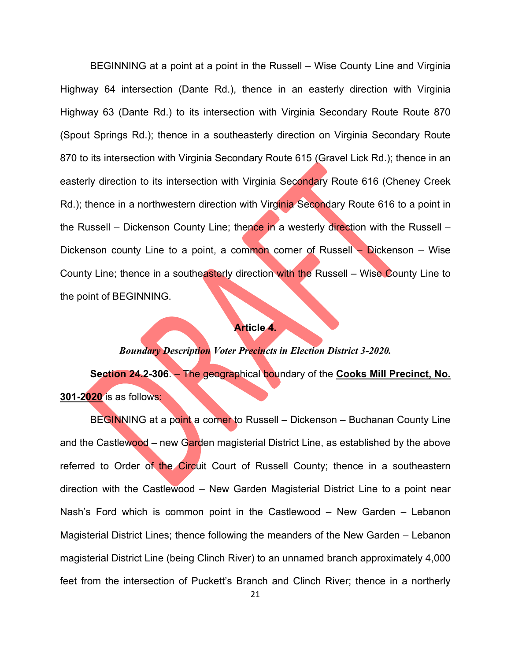BEGINNING at a point at a point in the Russell – Wise County Line and Virginia Highway 64 intersection (Dante Rd.), thence in an easterly direction with Virginia Highway 63 (Dante Rd.) to its intersection with Virginia Secondary Route Route 870 (Spout Springs Rd.); thence in a southeasterly direction on Virginia Secondary Route 870 to its intersection with Virginia Secondary Route 615 (Gravel Lick Rd.); thence in an easterly direction to its intersection with Virginia Secondary Route 616 (Cheney Creek Rd.); thence in a northwestern direction with Virginia Secondary Route 616 to a point in the Russell – Dickenson County Line; thence in a westerly direction with the Russell – Dickenson county Line to a point, a common corner of Russell  $\sim$  Dickenson – Wise County Line; thence in a southeasterly direction with the Russell – Wise County Line to the point of BEGINNING.

#### **Article 4.**

## *Boundary Description Voter Precincts in Election District 3-2020.*

**Section 24.2-306**. – The geographical boundary of the **Cooks Mill Precinct, No. 301-2020** is as follows:

BEGINNING at a point a corner to Russell – Dickenson – Buchanan County Line and the Castlewood – new Garden magisterial District Line, as established by the above referred to Order of the Circuit Court of Russell County; thence in a southeastern direction with the Castlewood – New Garden Magisterial District Line to a point near Nash's Ford which is common point in the Castlewood – New Garden – Lebanon Magisterial District Lines; thence following the meanders of the New Garden – Lebanon magisterial District Line (being Clinch River) to an unnamed branch approximately 4,000 feet from the intersection of Puckett's Branch and Clinch River; thence in a northerly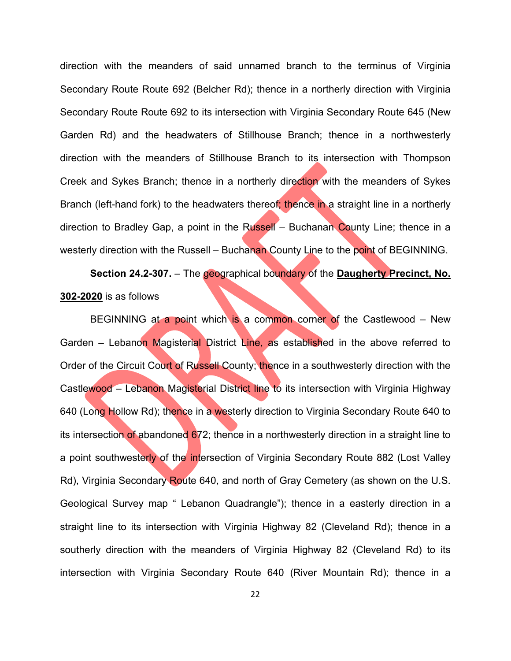direction with the meanders of said unnamed branch to the terminus of Virginia Secondary Route Route 692 (Belcher Rd); thence in a northerly direction with Virginia Secondary Route Route 692 to its intersection with Virginia Secondary Route 645 (New Garden Rd) and the headwaters of Stillhouse Branch; thence in a northwesterly direction with the meanders of Stillhouse Branch to its intersection with Thompson Creek and Sykes Branch; thence in a northerly direction with the meanders of Sykes Branch (left-hand fork) to the headwaters thereof; thence in a straight line in a northerly direction to Bradley Gap, a point in the Russell – Buchanan County Line; thence in a westerly direction with the Russell – Buchanan County Line to the point of BEGINNING.

**Section 24.2-307.** – The geographical boundary of the **Daugherty Precinct, No. 302-2020** is as follows

BEGINNING at a point which is a common corner of the Castlewood – New Garden – Lebanon Magisterial District Line, as established in the above referred to Order of the Circuit Court of Russell County; thence in a southwesterly direction with the Castlewood – Lebanon Magisterial District line to its intersection with Virginia Highway 640 (Long Hollow Rd); thence in a westerly direction to Virginia Secondary Route 640 to its intersection of abandoned 672; thence in a northwesterly direction in a straight line to a point southwesterly of the intersection of Virginia Secondary Route 882 (Lost Valley Rd), Virginia Secondary Route 640, and north of Gray Cemetery (as shown on the U.S. Geological Survey map " Lebanon Quadrangle"); thence in a easterly direction in a straight line to its intersection with Virginia Highway 82 (Cleveland Rd); thence in a southerly direction with the meanders of Virginia Highway 82 (Cleveland Rd) to its intersection with Virginia Secondary Route 640 (River Mountain Rd); thence in a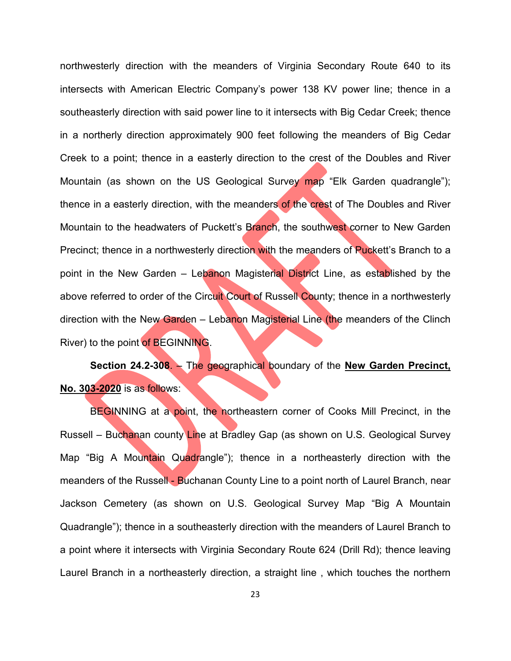northwesterly direction with the meanders of Virginia Secondary Route 640 to its intersects with American Electric Company's power 138 KV power line; thence in a southeasterly direction with said power line to it intersects with Big Cedar Creek; thence in a northerly direction approximately 900 feet following the meanders of Big Cedar Creek to a point; thence in a easterly direction to the crest of the Doubles and River Mountain (as shown on the US Geological Survey map "Elk Garden quadrangle"); thence in a easterly direction, with the meanders of the crest of The Doubles and River Mountain to the headwaters of Puckett's Branch, the southwest corner to New Garden Precinct; thence in a northwesterly direction with the meanders of Puckett's Branch to a point in the New Garden – Lebanon Magisterial District Line, as established by the above referred to order of the Circuit Court of Russell County; thence in a northwesterly direction with the New Garden – Lebanon Magisterial Line (the meanders of the Clinch River) to the point of BEGINNING.

**Section 24.2-308**. – The geographical boundary of the **New Garden Precinct, No. 303-2020** is as follows:

BEGINNING at a point, the northeastern corner of Cooks Mill Precinct, in the Russell – Buchanan county Line at Bradley Gap (as shown on U.S. Geological Survey Map "Big A Mountain Quadrangle"); thence in a northeasterly direction with the meanders of the Russell - Buchanan County Line to a point north of Laurel Branch, near Jackson Cemetery (as shown on U.S. Geological Survey Map "Big A Mountain Quadrangle"); thence in a southeasterly direction with the meanders of Laurel Branch to a point where it intersects with Virginia Secondary Route 624 (Drill Rd); thence leaving Laurel Branch in a northeasterly direction, a straight line , which touches the northern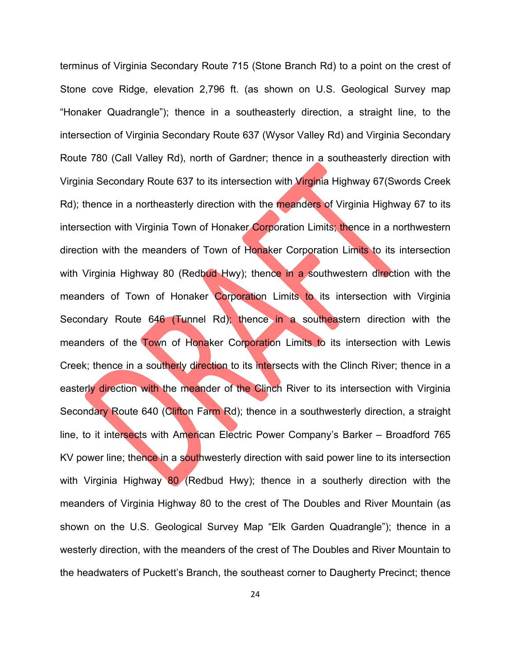terminus of Virginia Secondary Route 715 (Stone Branch Rd) to a point on the crest of Stone cove Ridge, elevation 2,796 ft. (as shown on U.S. Geological Survey map "Honaker Quadrangle"); thence in a southeasterly direction, a straight line, to the intersection of Virginia Secondary Route 637 (Wysor Valley Rd) and Virginia Secondary Route 780 (Call Valley Rd), north of Gardner; thence in a southeasterly direction with Virginia Secondary Route 637 to its intersection with Virginia Highway 67(Swords Creek Rd); thence in a northeasterly direction with the meanders of Virginia Highway 67 to its intersection with Virginia Town of Honaker Corporation Limits; thence in a northwestern direction with the meanders of Town of Honaker Corporation Limits to its intersection with Virginia Highway 80 (Redbud Hwy); thence in a southwestern direction with the meanders of Town of Honaker Corporation Limits to its intersection with Virginia Secondary Route 646 (Tunnel Rd); thence in a southeastern direction with the meanders of the Town of Honaker Corporation Limits to its intersection with Lewis Creek; thence in a southerly direction to its intersects with the Clinch River; thence in a easterly direction with the meander of the Clinch River to its intersection with Virginia Secondary Route 640 (Clifton Farm Rd); thence in a southwesterly direction, a straight line, to it intersects with American Electric Power Company's Barker – Broadford 765 KV power line; thence in a southwesterly direction with said power line to its intersection with Virginia Highway 80 (Redbud Hwy); thence in a southerly direction with the meanders of Virginia Highway 80 to the crest of The Doubles and River Mountain (as shown on the U.S. Geological Survey Map "Elk Garden Quadrangle"); thence in a westerly direction, with the meanders of the crest of The Doubles and River Mountain to the headwaters of Puckett's Branch, the southeast corner to Daugherty Precinct; thence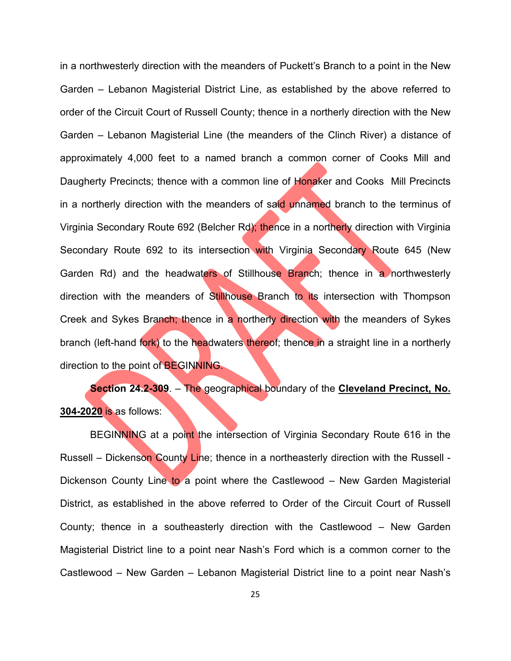in a northwesterly direction with the meanders of Puckett's Branch to a point in the New Garden – Lebanon Magisterial District Line, as established by the above referred to order of the Circuit Court of Russell County; thence in a northerly direction with the New Garden – Lebanon Magisterial Line (the meanders of the Clinch River) a distance of approximately 4,000 feet to a named branch a common corner of Cooks Mill and Daugherty Precincts; thence with a common line of Honaker and Cooks Mill Precincts in a northerly direction with the meanders of said unnamed branch to the terminus of Virginia Secondary Route 692 (Belcher Rd); thence in a northerly direction with Virginia Secondary Route 692 to its intersection with Virginia Secondary Route 645 (New Garden Rd) and the headwaters of Stillhouse Branch; thence in a northwesterly direction with the meanders of Stillhouse Branch to its intersection with Thompson Creek and Sykes Branch; thence in a northerly direction with the meanders of Sykes branch (left-hand fork) to the headwaters thereof; thence in a straight line in a northerly direction to the point of BEGINNING.

**Section 24.2-309**. – The geographical boundary of the **Cleveland Precinct, No. 304-2020** is as follows:

BEGINNING at a point the intersection of Virginia Secondary Route 616 in the Russell – Dickenson County Line; thence in a northeasterly direction with the Russell -Dickenson County Line to a point where the Castlewood – New Garden Magisterial District, as established in the above referred to Order of the Circuit Court of Russell County; thence in a southeasterly direction with the Castlewood – New Garden Magisterial District line to a point near Nash's Ford which is a common corner to the Castlewood – New Garden – Lebanon Magisterial District line to a point near Nash's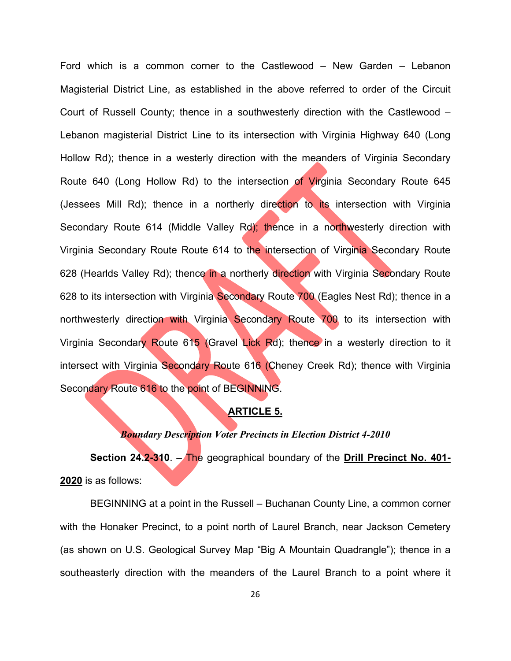Ford which is a common corner to the Castlewood – New Garden – Lebanon Magisterial District Line, as established in the above referred to order of the Circuit Court of Russell County; thence in a southwesterly direction with the Castlewood – Lebanon magisterial District Line to its intersection with Virginia Highway 640 (Long Hollow Rd); thence in a westerly direction with the meanders of Virginia Secondary Route 640 (Long Hollow Rd) to the intersection of Virginia Secondary Route 645 (Jessees Mill Rd); thence in a northerly direction to its intersection with Virginia Secondary Route 614 (Middle Valley Rd); thence in a northwesterly direction with Virginia Secondary Route Route 614 to the intersection of Virginia Secondary Route 628 (Hearlds Valley Rd); thence in a northerly direction with Virginia Secondary Route 628 to its intersection with Virginia Secondary Route 700 (Eagles Nest Rd); thence in a northwesterly direction with Virginia Secondary Route 700 to its intersection with Virginia Secondary Route 615 (Gravel Lick Rd); thence in a westerly direction to it intersect with Virginia Secondary Route 616 (Cheney Creek Rd); thence with Virginia Secondary Route 616 to the point of BEGINNING.

## **ARTICLE 5.**

#### *Boundary Description Voter Precincts in Election District 4-2010*

**Section 24.2-310**. – The geographical boundary of the **Drill Precinct No. 401- 2020** is as follows:

BEGINNING at a point in the Russell – Buchanan County Line, a common corner with the Honaker Precinct, to a point north of Laurel Branch, near Jackson Cemetery (as shown on U.S. Geological Survey Map "Big A Mountain Quadrangle"); thence in a southeasterly direction with the meanders of the Laurel Branch to a point where it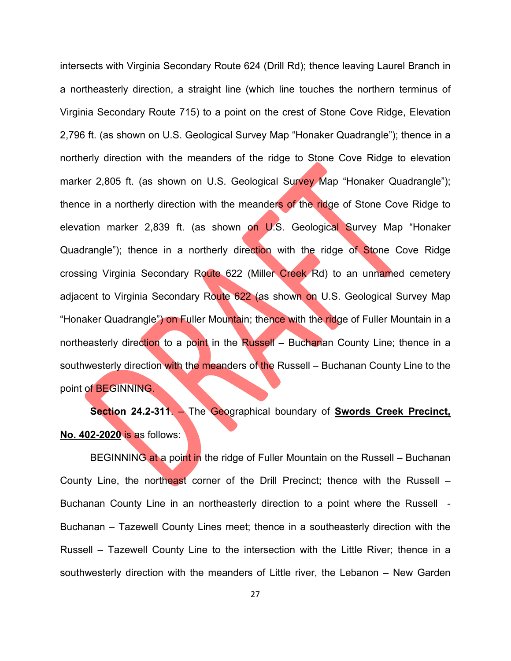intersects with Virginia Secondary Route 624 (Drill Rd); thence leaving Laurel Branch in a northeasterly direction, a straight line (which line touches the northern terminus of Virginia Secondary Route 715) to a point on the crest of Stone Cove Ridge, Elevation 2,796 ft. (as shown on U.S. Geological Survey Map "Honaker Quadrangle"); thence in a northerly direction with the meanders of the ridge to Stone Cove Ridge to elevation marker 2,805 ft. (as shown on U.S. Geological Survey Map "Honaker Quadrangle"); thence in a northerly direction with the meanders of the ridge of Stone Cove Ridge to elevation marker 2,839 ft. (as shown on U.S. Geological Survey Map "Honaker Quadrangle"); thence in a northerly direction with the ridge of Stone Cove Ridge crossing Virginia Secondary Route 622 (Miller Creek Rd) to an unnamed cemetery adjacent to Virginia Secondary Route 622 (as shown on U.S. Geological Survey Map "Honaker Quadrangle") on Fuller Mountain; thence with the ridge of Fuller Mountain in a northeasterly direction to a point in the Russell – Buchanan County Line; thence in a southwesterly direction with the meanders of the Russell – Buchanan County Line to the point of BEGINNING.

**Section 24.2-311**. – The Geographical boundary of **Swords Creek Precinct, No. 402-2020** is as follows:

BEGINNING at a point in the ridge of Fuller Mountain on the Russell – Buchanan County Line, the northeast corner of the Drill Precinct; thence with the Russell – Buchanan County Line in an northeasterly direction to a point where the Russell - Buchanan – Tazewell County Lines meet; thence in a southeasterly direction with the Russell – Tazewell County Line to the intersection with the Little River; thence in a southwesterly direction with the meanders of Little river, the Lebanon – New Garden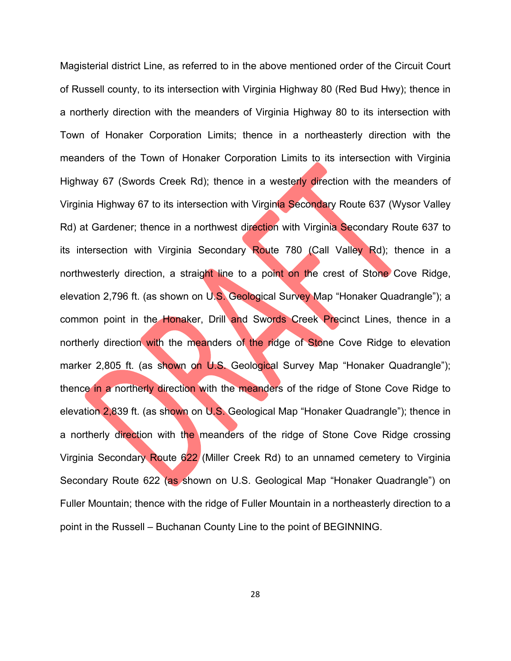Magisterial district Line, as referred to in the above mentioned order of the Circuit Court of Russell county, to its intersection with Virginia Highway 80 (Red Bud Hwy); thence in a northerly direction with the meanders of Virginia Highway 80 to its intersection with Town of Honaker Corporation Limits; thence in a northeasterly direction with the meanders of the Town of Honaker Corporation Limits to its intersection with Virginia Highway 67 (Swords Creek Rd); thence in a westerly direction with the meanders of Virginia Highway 67 to its intersection with Virginia Secondary Route 637 (Wysor Valley Rd) at Gardener; thence in a northwest direction with Virginia Secondary Route 637 to its intersection with Virginia Secondary Route 780 (Call Valley Rd); thence in a northwesterly direction, a straight line to a point on the crest of Stone Cove Ridge, elevation 2,796 ft. (as shown on U.S. Geological Survey Map "Honaker Quadrangle"); a common point in the Honaker, Drill and Swords Creek Precinct Lines, thence in a northerly direction with the meanders of the ridge of Stone Cove Ridge to elevation marker 2,805 ft. (as shown on U.S. Geological Survey Map "Honaker Quadrangle"); thence in a northerly direction with the meanders of the ridge of Stone Cove Ridge to elevation 2,839 ft. (as shown on U.S. Geological Map "Honaker Quadrangle"); thence in a northerly direction with the meanders of the ridge of Stone Cove Ridge crossing Virginia Secondary Route 622 (Miller Creek Rd) to an unnamed cemetery to Virginia Secondary Route 622 (as shown on U.S. Geological Map "Honaker Quadrangle") on Fuller Mountain; thence with the ridge of Fuller Mountain in a northeasterly direction to a point in the Russell – Buchanan County Line to the point of BEGINNING.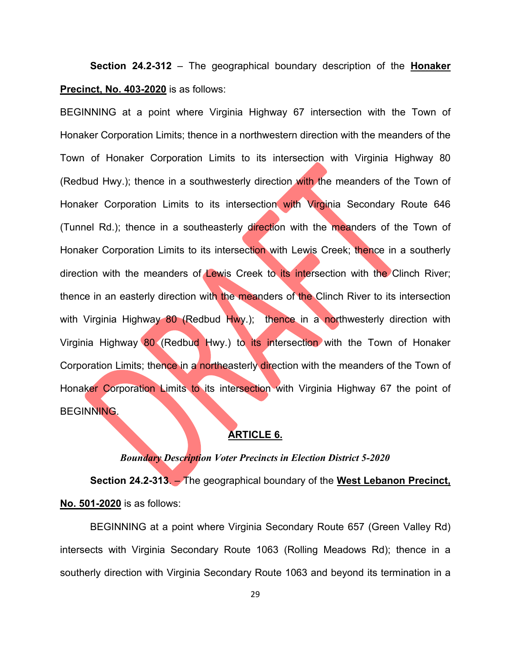**Section 24.2-312** – The geographical boundary description of the **Honaker Precinct, No. 403-2020** is as follows:

BEGINNING at a point where Virginia Highway 67 intersection with the Town of Honaker Corporation Limits; thence in a northwestern direction with the meanders of the Town of Honaker Corporation Limits to its intersection with Virginia Highway 80 (Redbud Hwy.); thence in a southwesterly direction with the meanders of the Town of Honaker Corporation Limits to its intersection with Virginia Secondary Route 646 (Tunnel Rd.); thence in a southeasterly direction with the meanders of the Town of Honaker Corporation Limits to its intersection with Lewis Creek; thence in a southerly direction with the meanders of Lewis Creek to its intersection with the Clinch River; thence in an easterly direction with the meanders of the Clinch River to its intersection with Virginia Highway 80 (Redbud Hwy.); thence in a northwesterly direction with Virginia Highway 80 (Redbud Hwy.) to its intersection with the Town of Honaker Corporation Limits; thence in a northeasterly direction with the meanders of the Town of Honaker Corporation Limits to its intersection with Virginia Highway 67 the point of BEGINNING.

#### **ARTICLE 6.**

#### *Boundary Description Voter Precincts in Election District 5-2020*

**Section 24.2-313**. – The geographical boundary of the **West Lebanon Precinct, No. 501-2020** is as follows:

BEGINNING at a point where Virginia Secondary Route 657 (Green Valley Rd) intersects with Virginia Secondary Route 1063 (Rolling Meadows Rd); thence in a southerly direction with Virginia Secondary Route 1063 and beyond its termination in a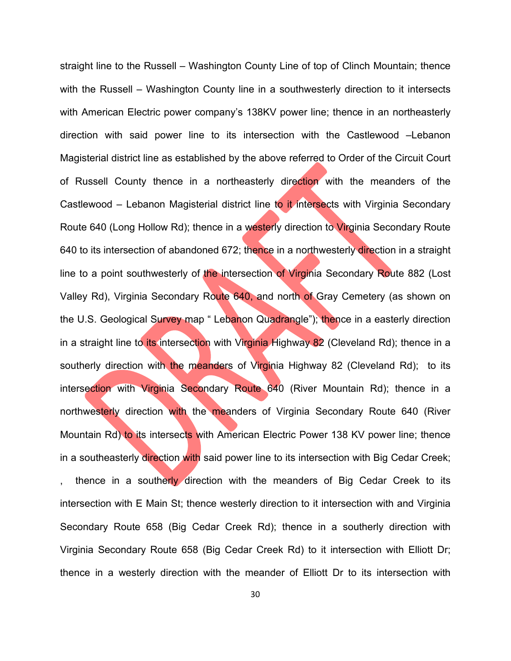straight line to the Russell – Washington County Line of top of Clinch Mountain; thence with the Russell – Washington County line in a southwesterly direction to it intersects with American Electric power company's 138KV power line; thence in an northeasterly direction with said power line to its intersection with the Castlewood –Lebanon Magisterial district line as established by the above referred to Order of the Circuit Court of Russell County thence in a northeasterly direction with the meanders of the Castlewood – Lebanon Magisterial district line to it intersects with Virginia Secondary Route 640 (Long Hollow Rd); thence in a westerly direction to Virginia Secondary Route 640 to its intersection of abandoned 672; thence in a northwesterly direction in a straight line to a point southwesterly of the intersection of Virginia Secondary Route 882 (Lost Valley Rd), Virginia Secondary Route 640, and north of Gray Cemetery (as shown on the U.S. Geological Survey map " Lebanon Quadrangle"); thence in a easterly direction in a straight line to its intersection with Virginia Highway 82 (Cleveland Rd); thence in a southerly direction with the meanders of Virginia Highway 82 (Cleveland Rd); to its intersection with Virginia Secondary Route 640 (River Mountain Rd); thence in a northwesterly direction with the meanders of Virginia Secondary Route 640 (River Mountain Rd) to its intersects with American Electric Power 138 KV power line; thence in a southeasterly direction with said power line to its intersection with Big Cedar Creek; thence in a southerly direction with the meanders of Big Cedar Creek to its intersection with E Main St; thence westerly direction to it intersection with and Virginia Secondary Route 658 (Big Cedar Creek Rd); thence in a southerly direction with Virginia Secondary Route 658 (Big Cedar Creek Rd) to it intersection with Elliott Dr; thence in a westerly direction with the meander of Elliott Dr to its intersection with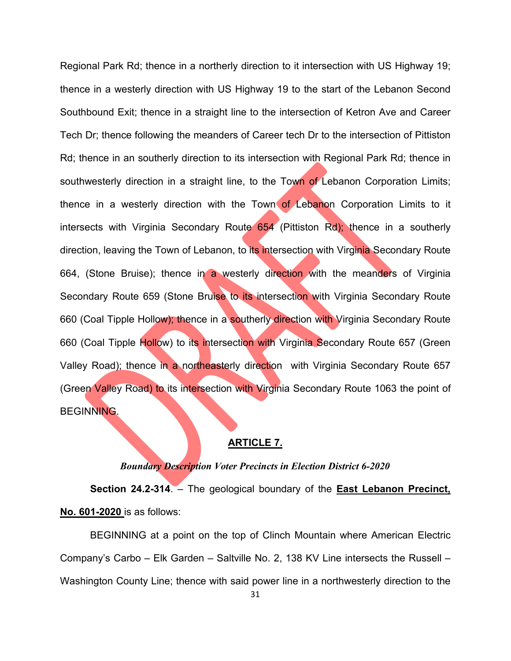Regional Park Rd; thence in a northerly direction to it intersection with US Highway 19; thence in a westerly direction with US Highway 19 to the start of the Lebanon Second Southbound Exit; thence in a straight line to the intersection of Ketron Ave and Career Tech Dr; thence following the meanders of Career tech Dr to the intersection of Pittiston Rd; thence in an southerly direction to its intersection with Regional Park Rd; thence in southwesterly direction in a straight line, to the Town of Lebanon Corporation Limits; thence in a westerly direction with the Town of Lebanon Corporation Limits to it intersects with Virginia Secondary Route 654 (Pittiston Rd); thence in a southerly direction, leaving the Town of Lebanon, to its intersection with Virginia Secondary Route 664, (Stone Bruise); thence in a westerly direction with the meanders of Virginia Secondary Route 659 (Stone Bruise to its intersection with Virginia Secondary Route 660 (Coal Tipple Hollow); thence in a southerly direction with Virginia Secondary Route 660 (Coal Tipple Hollow) to its intersection with Virginia Secondary Route 657 (Green Valley Road); thence in a northeasterly direction with Virginia Secondary Route 657 (Green Valley Road) to its intersection with Virginia Secondary Route 1063 the point of BEGINNING.

# **ARTICLE 7.**

#### *Boundary Description Voter Precincts in Election District 6-2020*

**Section 24.2-314**. – The geological boundary of the **East Lebanon Precinct, No. 601-2020** is as follows:

BEGINNING at a point on the top of Clinch Mountain where American Electric Company's Carbo – Elk Garden – Saltville No. 2, 138 KV Line intersects the Russell – Washington County Line; thence with said power line in a northwesterly direction to the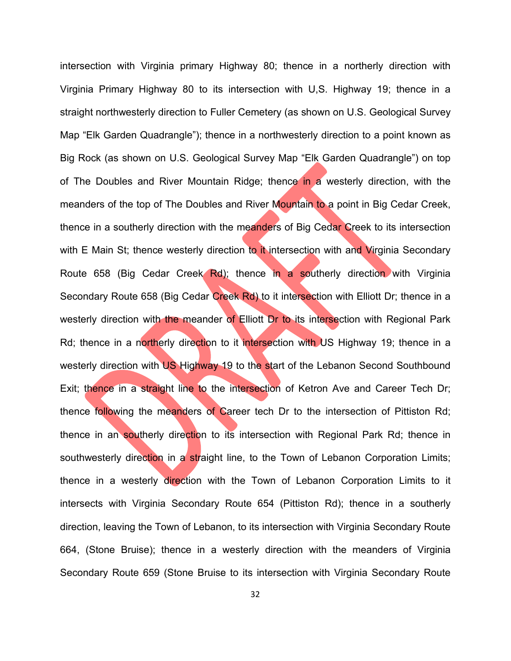intersection with Virginia primary Highway 80; thence in a northerly direction with Virginia Primary Highway 80 to its intersection with U,S. Highway 19; thence in a straight northwesterly direction to Fuller Cemetery (as shown on U.S. Geological Survey Map "Elk Garden Quadrangle"); thence in a northwesterly direction to a point known as Big Rock (as shown on U.S. Geological Survey Map "Elk Garden Quadrangle") on top of The Doubles and River Mountain Ridge; thence in a westerly direction, with the meanders of the top of The Doubles and River Mountain to a point in Big Cedar Creek, thence in a southerly direction with the meanders of Big Cedar Creek to its intersection with E Main St; thence westerly direction to it intersection with and Virginia Secondary Route 658 (Big Cedar Creek Rd); thence in a southerly direction with Virginia Secondary Route 658 (Big Cedar Creek Rd) to it intersection with Elliott Dr; thence in a westerly direction with the meander of Elliott Dr to its intersection with Regional Park Rd; thence in a northerly direction to it intersection with US Highway 19; thence in a westerly direction with US Highway 19 to the start of the Lebanon Second Southbound Exit; thence in a straight line to the intersection of Ketron Ave and Career Tech Dr; thence following the meanders of Career tech Dr to the intersection of Pittiston Rd; thence in an southerly direction to its intersection with Regional Park Rd; thence in southwesterly direction in a straight line, to the Town of Lebanon Corporation Limits; thence in a westerly direction with the Town of Lebanon Corporation Limits to it intersects with Virginia Secondary Route 654 (Pittiston Rd); thence in a southerly direction, leaving the Town of Lebanon, to its intersection with Virginia Secondary Route 664, (Stone Bruise); thence in a westerly direction with the meanders of Virginia Secondary Route 659 (Stone Bruise to its intersection with Virginia Secondary Route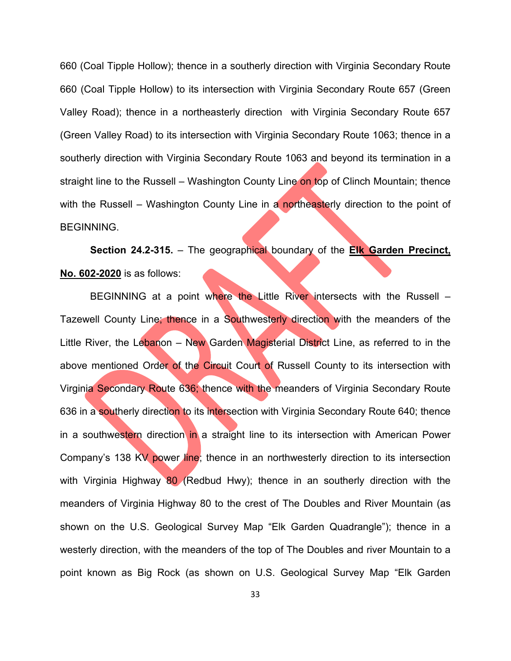660 (Coal Tipple Hollow); thence in a southerly direction with Virginia Secondary Route 660 (Coal Tipple Hollow) to its intersection with Virginia Secondary Route 657 (Green Valley Road); thence in a northeasterly direction with Virginia Secondary Route 657 (Green Valley Road) to its intersection with Virginia Secondary Route 1063; thence in a southerly direction with Virginia Secondary Route 1063 and beyond its termination in a straight line to the Russell – Washington County Line on top of Clinch Mountain; thence with the Russell – Washington County Line in a northeasterly direction to the point of BEGINNING.

**Section 24.2-315.** – The geographical boundary of the **Elk Garden Precinct, No. 602-2020** is as follows:

BEGINNING at a point where the Little River intersects with the Russell – Tazewell County Line; thence in a Southwesterly direction with the meanders of the Little River, the Lebanon – New Garden Magisterial District Line, as referred to in the above mentioned Order of the Circuit Court of Russell County to its intersection with Virginia Secondary Route 636; thence with the meanders of Virginia Secondary Route 636 in a southerly direction to its intersection with Virginia Secondary Route 640; thence in a southwestern direction in a straight line to its intersection with American Power Company's 138 KV power line; thence in an northwesterly direction to its intersection with Virginia Highway 80 (Redbud Hwy); thence in an southerly direction with the meanders of Virginia Highway 80 to the crest of The Doubles and River Mountain (as shown on the U.S. Geological Survey Map "Elk Garden Quadrangle"); thence in a westerly direction, with the meanders of the top of The Doubles and river Mountain to a point known as Big Rock (as shown on U.S. Geological Survey Map "Elk Garden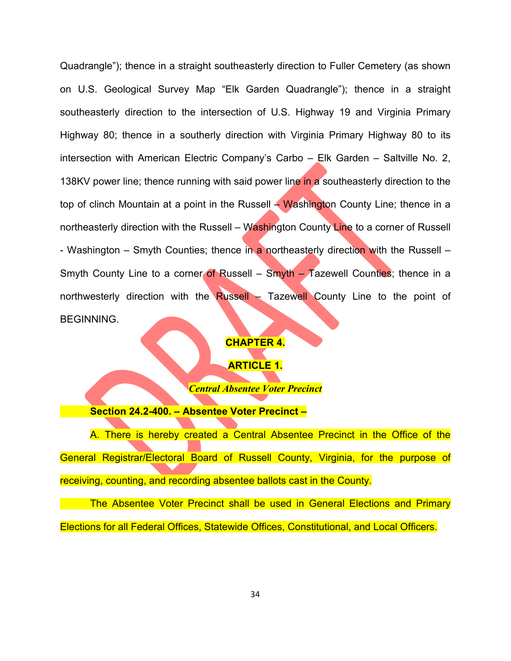Quadrangle"); thence in a straight southeasterly direction to Fuller Cemetery (as shown on U.S. Geological Survey Map "Elk Garden Quadrangle"); thence in a straight southeasterly direction to the intersection of U.S. Highway 19 and Virginia Primary Highway 80; thence in a southerly direction with Virginia Primary Highway 80 to its intersection with American Electric Company's Carbo – Elk Garden – Saltville No. 2, 138KV power line; thence running with said power line in a southeasterly direction to the top of clinch Mountain at a point in the Russell  $\div$  Washington County Line; thence in a northeasterly direction with the Russell – Washington County Line to a corner of Russell - Washington – Smyth Counties; thence in a northeasterly direction with the Russell – Smyth County Line to a corner of Russell – Smyth – Tazewell Counties; thence in a northwesterly direction with the Russell – Tazewell County Line to the point of BEGINNING.

### **CHAPTER 4.**

## **ARTICLE 1.**

*Central Absentee Voter Precinct*

**Section 24.2-400. – Absentee Voter Precinct –**

A. There is hereby created a Central Absentee Precinct in the Office of the General Registrar/Electoral Board of Russell County, Virginia, for the purpose of receiving, counting, and recording absentee ballots cast in the County.

The Absentee Voter Precinct shall be used in General Elections and Primary Elections for all Federal Offices, Statewide Offices, Constitutional, and Local Officers.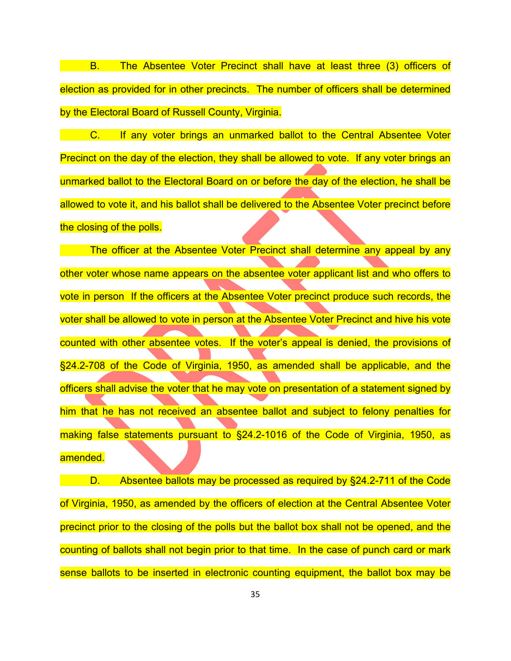B. The Absentee Voter Precinct shall have at least three (3) officers of election as provided for in other precincts. The number of officers shall be determined by the Electoral Board of Russell County, Virginia.

**C.** If any voter brings an unmarked ballot to the Central Absentee Voter Precinct on the day of the election, they shall be allowed to vote. If any voter brings an unmarked ballot to the Electoral Board on or before the day of the election, he shall be allowed to vote it, and his ballot shall be delivered to the Absentee Voter precinct before the closing of the polls.

The officer at the Absentee Voter Precinct shall determine any appeal by any other voter whose name appears on the absentee voter applicant list and who offers to vote in person If the officers at the Absentee Voter precinct produce such records, the voter shall be allowed to vote in person at the Absentee Voter Precinct and hive his vote counted with other absentee votes. If the voter's appeal is denied, the provisions of §24.2-708 of the Code of Virginia, 1950, as amended shall be applicable, and the officers shall advise the voter that he may vote on presentation of a statement signed by him that he has not received an absentee ballot and subject to felony penalties for making false statements pursuant to §24.2-1016 of the Code of Virginia, 1950, as amended.

D. Absentee ballots may be processed as required by §24.2-711 of the Code of Virginia, 1950, as amended by the officers of election at the Central Absentee Voter precinct prior to the closing of the polls but the ballot box shall not be opened, and the counting of ballots shall not begin prior to that time. In the case of punch card or mark sense ballots to be inserted in electronic counting equipment, the ballot box may be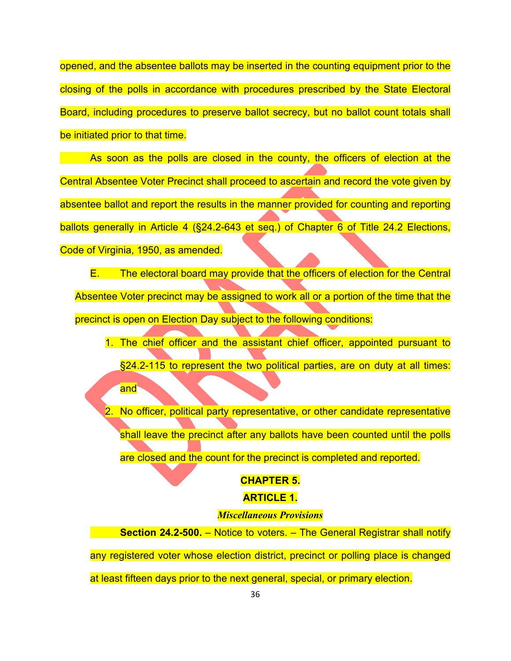opened, and the absentee ballots may be inserted in the counting equipment prior to the closing of the polls in accordance with procedures prescribed by the State Electoral Board, including procedures to preserve ballot secrecy, but no ballot count totals shall be initiated prior to that time.

As soon as the polls are closed in the county, the officers of election at the Central Absentee Voter Precinct shall proceed to ascertain and record the vote given by absentee ballot and report the results in the manner provided for counting and reporting ballots generally in Article 4 (§24.2-643 et seq.) of Chapter 6 of Title 24.2 Elections, Code of Virginia, 1950, as amended.

E. The electoral board may provide that the officers of election for the Central Absentee Voter precinct may be assigned to work all or a portion of the time that the precinct is open on Election Day subject to the following conditions:

- 1. The chief officer and the assistant chief officer, appointed pursuant to §24.2-115 to represent the two political parties, are on duty at all times: and<sup>-</sup>
- No officer, political party representative, or other candidate representative shall leave the precinct after any ballots have been counted until the polls are closed and the count for the precinct is completed and reported.

#### **CHAPTER 5.**

## **ARTICLE 1.**

# *Miscellaneous Provisions*

**Section 24.2-500.** – Notice to voters. – The General Registrar shall notify any registered voter whose election district, precinct or polling place is changed

at least fifteen days prior to the next general, special, or primary election.